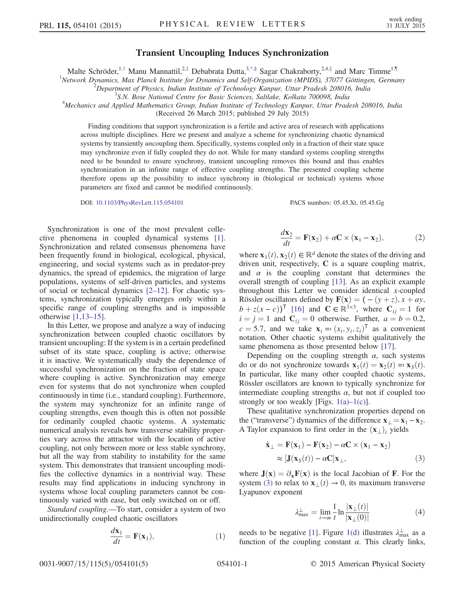## Transient Uncoupling Induces Synchronization

Malte Schröder,<sup>1,[†](#page-4-0)</sup> Manu Mannattil,<sup>2,[‡](#page-4-1)</sup> Debabrata Dutta,<sup>3[,\\*](#page-4-2)[,§](#page-4-3)</sup> Sagar Chakraborty,<sup>2,4,[∥](#page-4-4)</sup> and Marc Timme<sup>[1,¶](#page-4-5)</sup>

<span id="page-0-1"></span><sup>1</sup>Network Dynamics, Max Planck Institute for Dynamics and Self-Organization (MPIDS), 37077 Göttingen, Germany<br><sup>2</sup>Department of Physics, Indian Institute of Technology Kannyr, Uttar Pradeck 208016, India.

 $\hat{P}$ Department of Physics, Indian Institute of Technology Kanpur, Uttar Pradesh 208016, India

<sup>3</sup>S.N. Bose National Centre for Basic Sciences, Saltlake, Kolkata 700098, India

<sup>4</sup>Mechanics and Applied Mathematics Group, Indian Institute of Technology Kanpur, Uttar Pradesh 208016, India

(Received 26 March 2015; published 29 July 2015)

Finding conditions that support synchronization is a fertile and active area of research with applications across multiple disciplines. Here we present and analyze a scheme for synchronizing chaotic dynamical systems by transiently *uncoupling them.* Specifically, systems coupled only in a fraction of their state space may synchronize even if fully coupled they do not. While for many standard systems coupling strengths need to be bounded to ensure synchrony, transient uncoupling removes this bound and thus enables synchronization in an infinite range of effective coupling strengths. The presented coupling scheme therefore opens up the possibility to induce synchrony in (biological or technical) systems whose parameters are fixed and cannot be modified continuously.

DOI: [10.1103/PhysRevLett.115.054101](http://dx.doi.org/10.1103/PhysRevLett.115.054101) PACS numbers: 05.45.Xt, 05.45.Gg

Synchronization is one of the most prevalent collective phenomena in coupled dynamical systems [\[1\]](#page-4-6). Synchronization and related consensus phenomena have been frequently found in biological, ecological, physical, engineering, and social systems such as in predator-prey dynamics, the spread of epidemics, the migration of large populations, systems of self-driven particles, and systems of social or technical dynamics [2–[12\]](#page-4-7). For chaotic systems, synchronization typically emerges only within a specific range of coupling strengths and is impossible otherwise [\[1,13](#page-4-6)–15].

In this Letter, we propose and analyze a way of inducing synchronization between coupled chaotic oscillators by transient uncoupling: If the system is in a certain predefined subset of its state space, coupling is active; otherwise it is inactive. We systematically study the dependence of successful synchronization on the fraction of state space where coupling is active. Synchronization may emerge even for systems that do not synchronize when coupled continuously in time (i.e., standard coupling). Furthermore, the system may synchronize for an infinite range of coupling strengths, even though this is often not possible for ordinarily coupled chaotic systems. A systematic numerical analysis reveals how transverse stability properties vary across the attractor with the location of active coupling, not only between more or less stable synchrony, but all the way from stability to instability for the same system. This demonstrates that transient uncoupling modifies the collective dynamics in a nontrivial way. These results may find applications in inducing synchrony in systems whose local coupling parameters cannot be continuously varied with ease, but only switched on or off.

Standard coupling.—To start, consider a system of two unidirectionally coupled chaotic oscillators

$$
\frac{d\mathbf{x}_1}{dt} = \mathbf{F}(\mathbf{x}_1),\tag{1}
$$

$$
\frac{d\mathbf{x}_2}{dt} = \mathbf{F}(\mathbf{x}_2) + \alpha \mathbf{C} \times (\mathbf{x}_1 - \mathbf{x}_2),\tag{2}
$$

where  $\mathbf{x}_1(t), \mathbf{x}_2(t) \in \mathbb{R}^d$  denote the states of the driving and driven unit, respectively, C is a square coupling matrix, and  $\alpha$  is the coupling constant that determines the overall strength of coupling [\[13\].](#page-4-8) As an explicit example throughout this Letter we consider identical  $x$ -coupled Rössler oscillators defined by  $\mathbf{F}(\mathbf{x}) = (- (y + z), x + ay,$ <br> $b + z(x - c))^T$ . [16] and  $\mathbf{C} \in \mathbb{R}^{3 \times 3}$  where  $\mathbf{C} \cdot \mathbf{C} = 1$  for  $(b + z(x - c))^T$  [\[16\]](#page-4-9) and  $C \in \mathbb{R}^{3 \times 3}$ , where  $C_{ij} = 1$  for  $i - j - 1$  and  $C_{ii} = 0$  otherwise. Further  $a - b = 0.2$  $i = j = 1$  and  $C_{ii} = 0$  otherwise. Further,  $a = b = 0.2$ ,  $c = 5.7$ , and we take  $\mathbf{x}_i = (x_i, y_i, z_i)^\mathsf{T}$  as a convenient notation. Other chaotic systems exhibit qualitatively the same phenomena as those presented below [\[17\]](#page-4-10).

Depending on the coupling strength  $\alpha$ , such systems do or do not synchronize towards  $\mathbf{x}_1(t) = \mathbf{x}_2(t) = \mathbf{x}_S(t)$ . In particular, like many other coupled chaotic systems, Rössler oscillators are known to typically synchronize for intermediate coupling strengths  $\alpha$ , but not if coupled too strongly or too weakly [Figs.  $1(a)-1(c)$  $1(a)-1(c)$ ].

<span id="page-0-0"></span>These qualitative synchronization properties depend on the ("transverse") dynamics of the difference  $\mathbf{x}_{\perp} = \mathbf{x}_1 - \mathbf{x}_2$ . A Taylor expansion to first order in the  $(\mathbf{x}_\perp)$  yields

$$
\dot{\mathbf{x}}_{\perp} = \mathbf{F}(\mathbf{x}_1) - \mathbf{F}(\mathbf{x}_2) - \alpha \mathbf{C} \times (\mathbf{x}_1 - \mathbf{x}_2)
$$
  
 
$$
\approx [\mathbf{J}(\mathbf{x}_S(t)) - \alpha \mathbf{C}] \mathbf{x}_{\perp},
$$
 (3)

where  $J(x) = \partial_x F(x)$  is the local Jacobian of F. For the system [\(3\)](#page-0-0) to relax to  $\mathbf{x}_{\perp}(t) \to 0$ , its maximum transverse Lyapunov exponent

$$
\lambda_{\max}^{\perp} = \lim_{t \to \infty} \frac{1}{t} \ln \frac{|\mathbf{x}_{\perp}(t)|}{|\mathbf{x}_{\perp}(0)|}
$$
(4)

needs to be negative [\[1\].](#page-4-6) Figure [1\(d\)](#page-1-0) illustrates  $\lambda_{\text{max}}^{\perp}$  as a function of the coupling constant  $\alpha$ . This clearly links,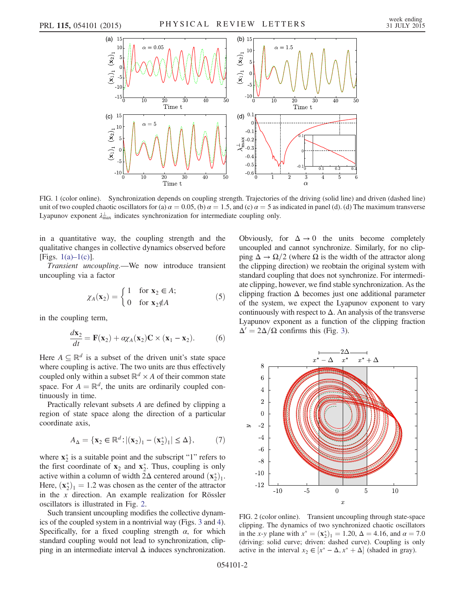<span id="page-1-0"></span>

FIG. 1 (color online). Synchronization depends on coupling strength. Trajectories of the driving (solid line) and driven (dashed line) unit of two coupled chaotic oscillators for (a)  $\alpha = 0.05$ , (b)  $\alpha = 1.5$ , and (c)  $\alpha = 5$  as indicated in panel (d). (d) The maximum transverse Lyapunov exponent  $\lambda_{\max}^{\perp}$  indicates synchronization for intermediate coupling only.

in a quantitative way, the coupling strength and the qualitative changes in collective dynamics observed before [Figs.  $1(a) - 1(c)$  $1(a) - 1(c)$ ].

<span id="page-1-2"></span>Transient uncoupling.—We now introduce transient uncoupling via a factor

$$
\chi_A(\mathbf{x}_2) = \begin{cases} 1 & \text{for } \mathbf{x}_2 \in A; \\ 0 & \text{for } \mathbf{x}_2 \notin A \end{cases}
$$
 (5)

in the coupling term,

$$
\frac{d\mathbf{x}_2}{dt} = \mathbf{F}(\mathbf{x}_2) + \alpha \chi_A(\mathbf{x}_2) \mathbf{C} \times (\mathbf{x}_1 - \mathbf{x}_2).
$$
 (6)

Here  $A \subseteq \mathbb{R}^d$  is a subset of the driven unit's state space where coupling is active. The two units are thus effectively coupled only within a subset  $\mathbb{R}^d \times A$  of their common state space. For  $A = \mathbb{R}^d$ , the units are ordinarily coupled continuously in time.

<span id="page-1-3"></span>Practically relevant subsets A are defined by clipping a region of state space along the direction of a particular coordinate axis,

$$
A_{\Delta} = \{ \mathbf{x}_2 \in \mathbb{R}^d : |(\mathbf{x}_2)_1 - (\mathbf{x}_2^*)_1| \le \Delta \},\tag{7}
$$

where  $x_2^*$  is a suitable point and the subscript "1" refers to the first coordinate of  $x_2$  and  $x_2^*$ . Thus, coupling is only active within a column of width  $2\Delta$  centered around  $(\mathbf{x}_{2}^{*})_1$ .<br>Here  $(\mathbf{x}^{*}) = 1.2$  was chosen as the center of the attractor Here,  $(\mathbf{x}_2^*)_1 = 1.2$  was chosen as the center of the attractor<br>in the x direction. An example realization for Rössler in the  $x$  direction. An example realization for Rössler oscillators is illustrated in Fig. [2.](#page-1-1)

Such transient uncoupling modifies the collective dynamics of the coupled system in a nontrivial way (Figs. [3](#page-2-0) and [4](#page-2-1)). Specifically, for a fixed coupling strength  $\alpha$ , for which standard coupling would not lead to synchronization, clipping in an intermediate interval  $\Delta$  induces synchronization. Obviously, for  $\Delta \rightarrow 0$  the units become completely uncoupled and cannot synchronize. Similarly, for no clipping  $Δ \rightarrow Ω/2$  (where  $Ω$  is the width of the attractor along the clipping direction) we reobtain the original system with standard coupling that does not synchronize. For intermediate clipping, however, we find stable synchronization. As the clipping fraction  $\Delta$  becomes just one additional parameter of the system, we expect the Lyapunov exponent to vary continuously with respect to  $\Delta$ . An analysis of the transverse Lyapunov exponent as a function of the clipping fraction  $\Delta' = 2\Delta/\Omega$  confirms this (Fig. [3](#page-2-0)).

<span id="page-1-1"></span>

FIG. 2 (color online). Transient uncoupling through state-space clipping. The dynamics of two synchronized chaotic oscillators in the x-y plane with  $x^* = (\mathbf{x}_2^*)^2 = 1.20$ ,  $\Delta = 4.16$ , and  $\alpha = 7.0$ <br>(driving: solid curve: driven: dashed curve). Counling is only (driving: solid curve; driven: dashed curve). Coupling is only active in the interval  $x_2 \in [x^* - \Delta, x^* + \Delta]$  (shaded in gray).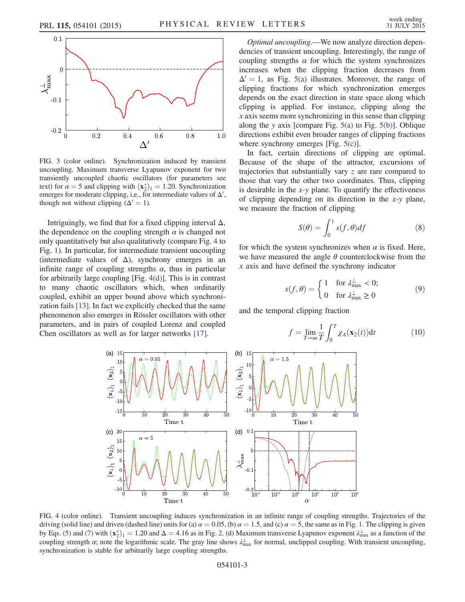<span id="page-2-0"></span>

FIG. 3 (color online). Synchronization induced by transient uncoupling. Maximum transverse Lyapunov exponent for two transiently uncoupled chaotic oscillators (for parameters see text) for  $\alpha = 5$  and clipping with  $(\mathbf{x}_2^*)_1 = 1.20$ . Synchronization<br>emerges for moderate clinning i.e. for intermediate values of  $\Delta'$ emerges for moderate clipping, i.e., for intermediate values of  $\Delta'$ , though not without clipping ( $\Delta' = 1$ ).

Intriguingly, we find that for a fixed clipping interval  $\Delta$ , the dependence on the coupling strength  $\alpha$  is changed not only quantitatively but also qualitatively (compare Fig. [4](#page-2-1) to Fig. [1\)](#page-1-0). In particular, for intermediate transient uncoupling (intermediate values of  $\Delta$ ), synchrony emerges in an infinite range of coupling strengths  $\alpha$ , thus in particular for arbitrarily large coupling [Fig. [4\(d\)\]](#page-2-1). This is in contrast to many chaotic oscillators which, when ordinarily coupled, exhibit an upper bound above which synchronization fails [\[13\]](#page-4-8). In fact we explicitly checked that the same phenomenon also emerges in Rössler oscillators with other parameters, and in pairs of coupled Lorenz and coupled Chen oscillators as well as for larger networks [\[17\]](#page-4-10).

Optimal uncoupling.—We now analyze direction dependencies of transient uncoupling. Interestingly, the range of coupling strengths  $\alpha$  for which the system synchronizes increases when the clipping fraction decreases from  $\Delta' = 1$ , as Fig. [5\(a\)](#page-3-0) illustrates. Moreover, the range of clipping fractions for which synchronization emerges depends on the exact direction in state space along which clipping is applied. For instance, clipping along the  $x$  axis seems more synchronizing in this sense than clipping along the y axis [compare Fig.  $5(a)$  to Fig.  $5(b)$ ]. Oblique directions exhibit even broader ranges of clipping fractions where synchrony emerges [Fig.  $5(c)$ ].

In fact, certain directions of clipping are optimal. Because of the shape of the attractor, excursions of trajectories that substantially vary z are rare compared to those that vary the other two coordinates. Thus, clipping is desirable in the  $x-y$  plane. To quantify the effectiveness of clipping depending on its direction in the  $x-y$  plane, we measure the fraction of clipping

$$
S(\theta) = \int_0^1 s(f, \theta) df
$$
 (8)

<span id="page-2-2"></span>for which the system synchronizes when  $\alpha$  is fixed. Here, we have measured the angle  $\theta$  counterclockwise from the  $x$  axis and have defined the synchrony indicator

$$
s(f,\theta) = \begin{cases} 1 & \text{for } \lambda_{\text{max}}^{\perp} < 0; \\ 0 & \text{for } \lambda_{\text{max}}^{\perp} \ge 0 \end{cases}
$$
 (9)

and the temporal clipping fraction

$$
f = \lim_{T \to \infty} \frac{1}{T} \int_0^T \chi_A(\mathbf{x}_2(t)) dt
$$
 (10)

<span id="page-2-1"></span>

FIG. 4 (color online). Transient uncoupling induces synchronization in an infinite range of coupling strengths. Trajectories of the driving (solid line) and driven (dashed line) units for (a)  $\alpha = 0.05$ , (b)  $\alpha = 1.5$  $\alpha = 1.5$  $\alpha = 1.5$ , and (c)  $\alpha = 5$ , the same as in Fig. 1. The clipping is given by Eqs. [\(5\)](#page-1-2) and [\(7\)](#page-1-3) with  $(\mathbf{x}_2^*)_1 = 1.20$  and  $\Delta = 4.16$  as in Fig. [2.](#page-1-1) (d) Maximum transverse Lyapunov exponent  $\lambda_{\text{max}}^{\perp}$  as a function of the coupling strength  $\alpha$ ; note the logarithmic scale. The gray line show coupling strength  $\alpha$ ; note the logarithmic scale. The gray line shows  $\lambda_{\max}^{\perp}$  for normal, unclipped coupling. With transient uncoupling, synchronization is stable for arbitrarily large coupling strengths.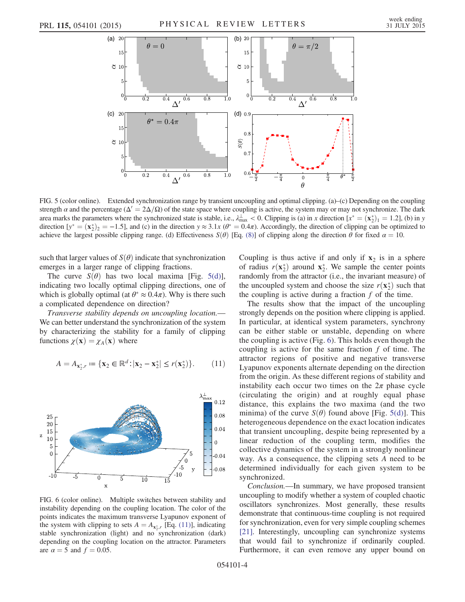<span id="page-3-0"></span>

FIG. 5 (color online). Extended synchronization range by transient uncoupling and optimal clipping. (a)–(c) Depending on the coupling strength  $\alpha$  and the percentage ( $\Delta' = 2\Delta/\Omega$ ) of the state space where coupling is active, the system may or may not synchronize. The dark area marks the parameters where the synchronized state is stable, i.e.,  $\lambda_{\text{max}}^{\perp} < 0$ . Clipping is (a) in x direction  $[x^* = (\mathbf{x}_2^*)_1 = 1.2]$ , (b) in y direction  $[x^* = (\mathbf{x}^*)_1 = -1.5]$  and (c) in the direction  $y \approx 3.1$ direction  $[y^* = (x_2^*)_2 = -1.5]$ , and (c) in the direction  $y \approx 3.1x$  ( $\theta^* = 0.4\pi$ ). Accordingly, the direction of clipping can be optimized to achieve the largest possible climping range (d) Effectiveness  $S(\theta)$  [Eq. (8)] achieve the largest possible clipping range. (d) Effectiveness  $S(\theta)$  [Eq. [\(8\)](#page-2-2)] of clipping along the direction  $\theta$  for fixed  $\alpha = 10$ .

such that larger values of  $S(\theta)$  indicate that synchronization emerges in a larger range of clipping fractions.

The curve  $S(\theta)$  has two local maxima [Fig. [5\(d\)](#page-3-0)], indicating two locally optimal clipping directions, one of which is globally optimal (at  $\theta^* \approx 0.4\pi$ ). Why is there such a complicated dependence on direction?

<span id="page-3-2"></span>Transverse stability depends on uncoupling location.— We can better understand the synchronization of the system by characterizing the stability for a family of clipping functions  $\chi(\mathbf{x}) = \chi_A(\mathbf{x})$  where

$$
A = A_{\mathbf{x}_2^*, r} := \{ \mathbf{x}_2 \in \mathbb{R}^d : |\mathbf{x}_2 - \mathbf{x}_2^*| \le r(\mathbf{x}_2^*) \}. \tag{11}
$$

<span id="page-3-1"></span>

FIG. 6 (color online). Multiple switches between stability and instability depending on the coupling location. The color of the points indicates the maximum transverse Lyapunov exponent of the system with clipping to sets  $A = A_{\mathbf{x}_2^*,r}$  [Eq. [\(11\)](#page-3-2)], indicating stable, synchronization (light) and no synchronization (dark) stable synchronization (light) and no synchronization (dark) depending on the coupling location on the attractor. Parameters are  $\alpha = 5$  and  $f = 0.05$ .

Coupling is thus active if and only if  $x_2$  is in a sphere of radius  $r(\mathbf{x}_2^*)$  around  $\mathbf{x}_2^*$ . We sample the center points randomly from the attractor (i.e. the invariant measure) of randomly from the attractor (i.e., the invariant measure) of the uncoupled system and choose the size  $r(\mathbf{x}_2^*)$  such that the coupling is active during a fraction f of the time the coupling is active during a fraction  $f$  of the time.

The results show that the impact of the uncoupling strongly depends on the position where clipping is applied. In particular, at identical system parameters, synchrony can be either stable or unstable, depending on where the coupling is active (Fig. [6](#page-3-1)). This holds even though the coupling is active for the same fraction  $f$  of time. The attractor regions of positive and negative transverse Lyapunov exponents alternate depending on the direction from the origin. As these different regions of stability and instability each occur two times on the  $2\pi$  phase cycle (circulating the origin) and at roughly equal phase distance, this explains the two maxima (and the two minima) of the curve  $S(\theta)$  found above [Fig. [5\(d\)\]](#page-3-0). This heterogeneous dependence on the exact location indicates that transient uncoupling, despite being represented by a linear reduction of the coupling term, modifies the collective dynamics of the system in a strongly nonlinear way. As a consequence, the clipping sets A need to be determined individually for each given system to be synchronized.

Conclusion.—In summary, we have proposed transient uncoupling to modify whether a system of coupled chaotic oscillators synchronizes. Most generally, these results demonstrate that continuous-time coupling is not required for synchronization, even for very simple coupling schemes [\[21\].](#page-4-11) Interestingly, uncoupling can synchronize systems that would fail to synchronize if ordinarily coupled. Furthermore, it can even remove any upper bound on